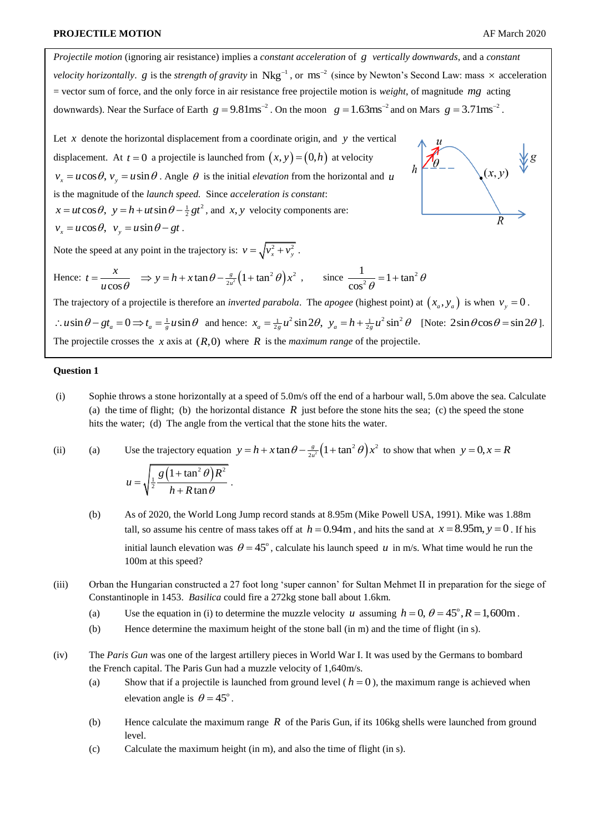*Projectile motion* (ignoring air resistance) implies a *constant acceleration* of *g vertically downwards*, and a *constant velocity horizontally. g* is the *strength of gravity* in  $Nkg^{-1}$ , or  $ms^{-2}$  (since by Newton's Second Law: mass  $\times$  acceleration = vector sum of force, and the only force in air resistance free projectile motion is *weight*, of magnitude mg acting downwards). Near the Surface of Earth  $g = 9.81 \text{ms}^{-2}$ . On the moon  $g = 1.63 \text{ms}^{-2}$  and on Mars  $g = 3.71 \text{ms}^{-2}$ . Let  $x$  denote the horizontal displacement from a coordinate origin, and  $y$  the vertical displacement. At  $t = 0$  a projectile is launched from  $(x, y) = (0, h)$  at velocity  $(x, y)$  $v_x = u \cos \theta$ ,  $v_y = u \sin \theta$ . Angle  $\theta$  is the initial *elevation* from the horizontal and *u* is the magnitude of the *launch speed.* Since *acceleration is constant*: s the magnitude of the *launch speed.* Since *acceleration is constant:*<br> $x = ut \cos \theta$ ,  $y = h + ut \sin \theta - \frac{1}{2}gt^2$ , and *x*, *y* velocity components are:  $v_x = u \cos \theta$ ,  $v_y = u \sin \theta - gt$ . Note the speed at any point in the trajectory is:  $v = \sqrt{v_x^2 + v_y^2}$ . Hence:  $t = \frac{x}{u \cos \theta}$   $\Rightarrow y = h + x \tan \theta - \frac{g}{2u^2} \left(1 + \tan^2 \theta\right) x^2$  $t = \frac{x}{u \cos \theta}$   $\Rightarrow$   $y = h + x \tan \theta - \frac{g}{2u^2} \left(1 + \tan^2 \theta\right) x^2$ , since  $\frac{1}{\cos^2 \theta} = 1 + \tan^2 \theta$ *x*  $\frac{1}{2}$  = 1 + tan *g*  $\overline{\theta}$  = 1 + ta  $\frac{1}{\cos^2 \theta} = 1 + \tan^2 \theta$ *u* 2 The trajectory of a projectile is therefore an *inverted parabola*. The *apogee* (highest point) at  $(x_a, y_a)$  is when  $v_y = 0$ .  $\therefore u \sin \theta - gt_a = 0 \Rightarrow t_a = \frac{1}{g} u \sin \theta$  and hence:  $x_a = \frac{1}{2g} u^2 \sin 2\theta$ ,  $y_a = h + \frac{1}{2g} u^2 \sin^2 \theta$  [Note:  $2 \sin \theta \cos \theta = \sin 2\theta$ ].

The projectile crosses the  $x$  axis at  $(R,0)$  where  $R$  is the *maximum range* of the projectile.

.

## **Question 1**

- (i) Sophie throws a stone horizontally at a speed of 5.0m/s off the end of a harbour wall, 5.0m above the sea. Calculate (a) the time of flight; (b) the horizontal distance  $R$  just before the stone hits the sea; (c) the speed the stone hits the water; (d) The angle from the vertical that the stone hits the water.
- (ii) (a) Use the trajectory equation  $y = h + x \tan \theta \frac{g}{2h^2} \left( 1 + \tan^2 \theta \right) x^2$  to show that when  $y = 0, x = R$

$$
u = \sqrt{\frac{1}{2} \frac{g \left(1 + \tan^2 \theta\right) R^2}{h + R \tan \theta}}
$$

- (b) As of 2020, the World Long Jump record stands at 8.95m (Mike Powell USA, 1991). Mike was 1.88m tall, so assume his centre of mass takes off at  $h = 0.94$ m, and hits the sand at  $x = 8.95$ m,  $y = 0$ . If his initial launch elevation was  $\theta = 45^{\circ}$ , calculate his launch speed *u* in m/s. What time would he run the 100m at this speed?
- (iii) Orban the Hungarian constructed a 27 foot long 'super cannon' for Sultan Mehmet II in preparation for the siege of Constantinople in 1453. *Basilica* could fire a 272kg stone ball about 1.6km.
	- (a) Use the equation in (i) to determine the muzzle velocity u assuming  $h = 0$ ,  $\theta = 45^\circ$ ,  $R = 1,600$ m.
	- (b) Hence determine the maximum height of the stone ball (in m) and the time of flight (in s).
- (iv) The *Paris Gun* was one of the largest artillery pieces in World War I. It was used by the Germans to bombard the French capital. The Paris Gun had a muzzle velocity of 1,640m/s.
	- (a) Show that if a projectile is launched from ground level  $(h = 0)$ , the maximum range is achieved when elevation angle is  $\theta = 45^\circ$ .
	- (b) Hence calculate the maximum range  $R$  of the Paris Gun, if its 106kg shells were launched from ground level.
	- (c) Calculate the maximum height (in m), and also the time of flight (in s).